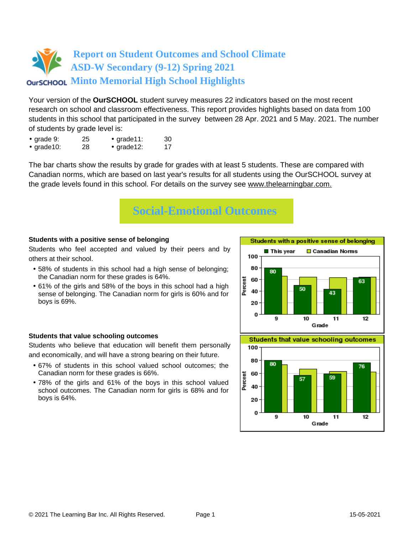Your version of the **OurSCHOOL** student survey measures 22 indicators based on the most recent research on school and classroom effectiveness. This report provides highlights based on data from 100 students in this school that participated in the survey between 28 Apr. 2021 and 5 May. 2021. The number of students by grade level is:

- grade 9: 25 grade 11: 30
- grade10: 28 grade12: 17

The bar charts show the results by grade for grades with at least 5 students. These are compared with Canadian norms, which are based on last year's results for all students using the OurSCHOOL survey at the grade levels found in this school. For details on the survey see [www.thelearningbar.com.](www.thelearningbar.com)



### **Students with a positive sense of belonging**

Students who feel accepted and valued by their peers and by others at their school.

- 58% of students in this school had a high sense of belonging; the Canadian norm for these grades is 64%.
- 61% of the girls and 58% of the boys in this school had a high sense of belonging. The Canadian norm for girls is 60% and for boys is 69%.

### **Students that value schooling outcomes**

Students who believe that education will benefit them personally and economically, and will have a strong bearing on their future.

- 67% of students in this school valued school outcomes; the Canadian norm for these grades is 66%.
- 78% of the girls and 61% of the boys in this school valued school outcomes. The Canadian norm for girls is 68% and for boys is 64%.



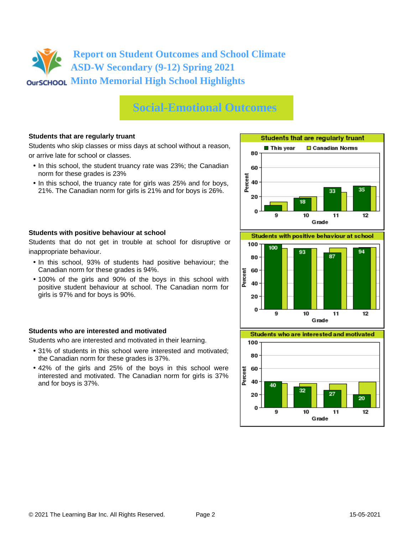# **Social-Emotional Outcomes**

### **Students that are regularly truant**

Students who skip classes or miss days at school without a reason, or arrive late for school or classes.

- In this school, the student truancy rate was 23%; the Canadian norm for these grades is 23%
- In this school, the truancy rate for girls was 25% and for boys, 21%. The Canadian norm for girls is 21% and for boys is 26%.



Students that do not get in trouble at school for disruptive or inappropriate behaviour.

- In this school, 93% of students had positive behaviour; the Canadian norm for these grades is 94%.
- 100% of the girls and 90% of the boys in this school with positive student behaviour at school. The Canadian norm for girls is 97% and for boys is 90%.

#### **Students who are interested and motivated**

Students who are interested and motivated in their learning.

- 31% of students in this school were interested and motivated; the Canadian norm for these grades is 37%.
- 42% of the girls and 25% of the boys in this school were interested and motivated. The Canadian norm for girls is 37% and for boys is 37%.





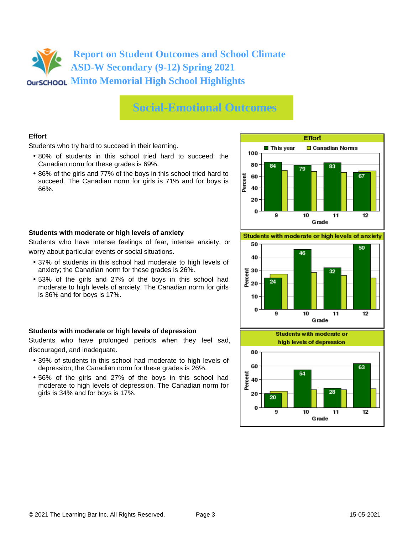## **Social-Emotional Outcomes**

## **Effort**

Students who try hard to succeed in their learning.

- 80% of students in this school tried hard to succeed; the Canadian norm for these grades is 69%.
- 86% of the girls and 77% of the boys in this school tried hard to succeed. The Canadian norm for girls is 71% and for boys is 66%.



### **Students with moderate or high levels of anxiety**

Students who have intense feelings of fear, intense anxiety, or worry about particular events or social situations.

- 37% of students in this school had moderate to high levels of anxiety; the Canadian norm for these grades is 26%.
- 53% of the girls and 27% of the boys in this school had moderate to high levels of anxiety. The Canadian norm for girls is 36% and for boys is 17%.

### **Students with moderate or high levels of depression**

Students who have prolonged periods when they feel sad, discouraged, and inadequate.

- 39% of students in this school had moderate to high levels of depression; the Canadian norm for these grades is 26%.
- 56% of the girls and 27% of the boys in this school had moderate to high levels of depression. The Canadian norm for girls is 34% and for boys is 17%.

Students with moderate or high levels of anxiety



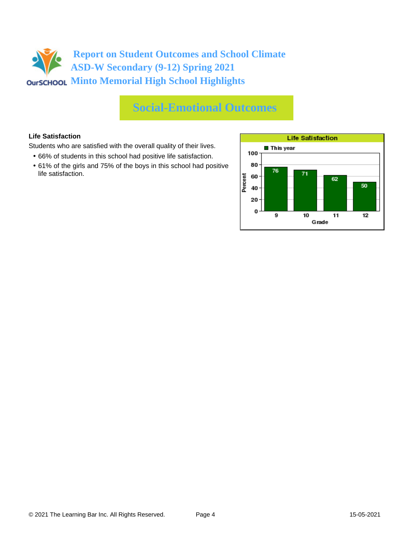# **Social-Emotional Outcomes**

## **Life Satisfaction**

Students who are satisfied with the overall quality of their lives.

- 66% of students in this school had positive life satisfaction.
- 61% of the girls and 75% of the boys in this school had positive life satisfaction.

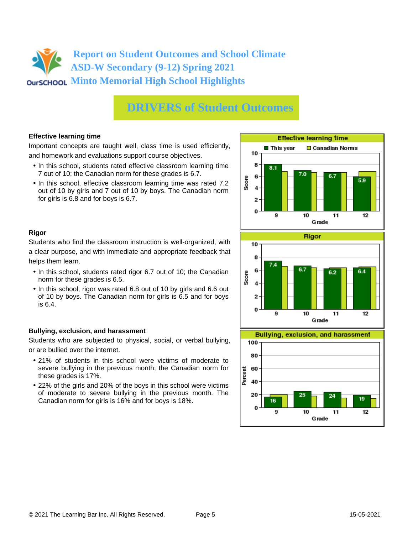# **DRIVERS of Student Outcomes**

### **Effective learning time**

Important concepts are taught well, class time is used efficiently, and homework and evaluations support course objectives.

- In this school, students rated effective classroom learning time 7 out of 10; the Canadian norm for these grades is 6.7.
- In this school, effective classroom learning time was rated 7.2 out of 10 by girls and 7 out of 10 by boys. The Canadian norm for girls is 6.8 and for boys is 6.7.



## **Rigor**

Students who find the classroom instruction is well-organized, with a clear purpose, and with immediate and appropriate feedback that helps them learn.

- In this school, students rated rigor 6.7 out of 10; the Canadian norm for these grades is 6.5.
- In this school, rigor was rated 6.8 out of 10 by girls and 6.6 out of 10 by boys. The Canadian norm for girls is 6.5 and for boys is 6.4.

### **Bullying, exclusion, and harassment**

Students who are subjected to physical, social, or verbal bullying, or are bullied over the internet.

- 21% of students in this school were victims of moderate to severe bullying in the previous month; the Canadian norm for these grades is 17%.
- 22% of the girls and 20% of the boys in this school were victims of moderate to severe bullying in the previous month. The Canadian norm for girls is 16% and for boys is 18%.



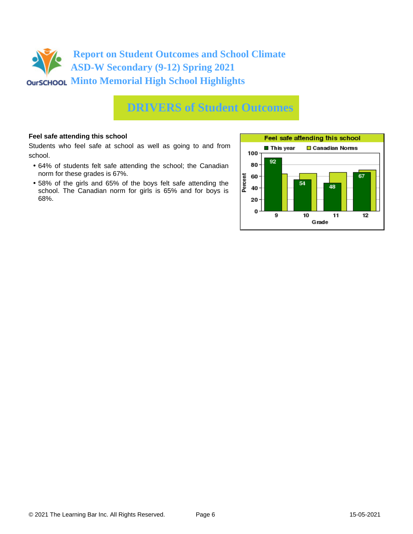

## **DRIVERS of Student Outcomes**

### **Feel safe attending this school**

Students who feel safe at school as well as going to and from school.

- 64% of students felt safe attending the school; the Canadian norm for these grades is 67%.
- 58% of the girls and 65% of the boys felt safe attending the school. The Canadian norm for girls is 65% and for boys is 68%.

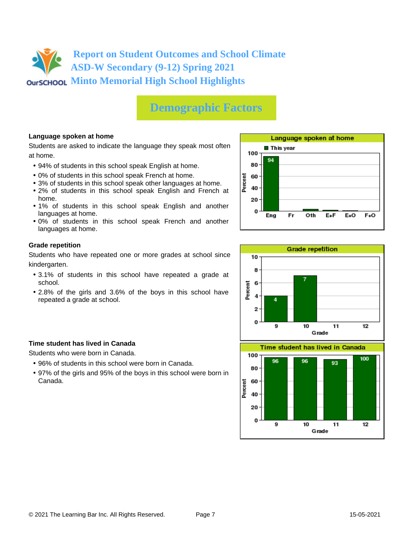# **Demographic Factors**

## **Language spoken at home**

Students are asked to indicate the language they speak most often at home.

- 94% of students in this school speak English at home.
- 0% of students in this school speak French at home.
- 3% of students in this school speak other languages at home.
- 2% of students in this school speak English and French at home.
- 1% of students in this school speak English and another languages at home.
- 0% of students in this school speak French and another languages at home.

### **Grade repetition**

Students who have repeated one or more grades at school since kindergarten.

- 3.1% of students in this school have repeated a grade at school.
- 2.8% of the girls and 3.6% of the boys in this school have repeated a grade at school.

### **Time student has lived in Canada**

Students who were born in Canada.

- 96% of students in this school were born in Canada.
- 97% of the girls and 95% of the boys in this school were born in Canada.



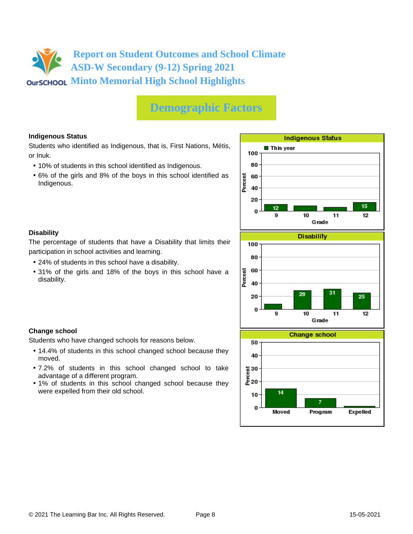# **Demographic Factors**

## **Indigenous Status**

Students who identified as Indigenous, that is, First Nations, Métis, or Inuk.

- 10% of students in this school identified as Indigenous.
- 6% of the girls and 8% of the boys in this school identified as Indigenous.



Program

Moved

### **Disability**

The percentage of students that have a Disability that limits their participation in school activities and learning.

- 24% of students in this school have a disability.
- 31% of the girls and 18% of the boys in this school have a disability.

### **Change school**

Students who have changed schools for reasons below.

- 14.4% of students in this school changed school because they moved.
- 7.2% of students in this school changed school to take advantage of a different program.
- 1% of students in this school changed school because they were expelled from their old school.

Expelled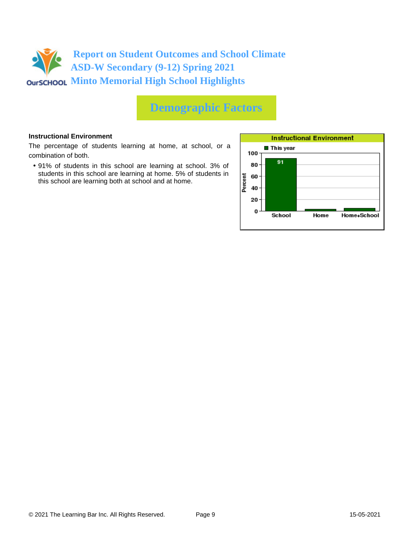

# **Demographic Factors**

### **Instructional Environment**

The percentage of students learning at home, at school, or a combination of both.

• 91% of students in this school are learning at school. 3% of students in this school are learning at home. 5% of students in this school are learning both at school and at home.

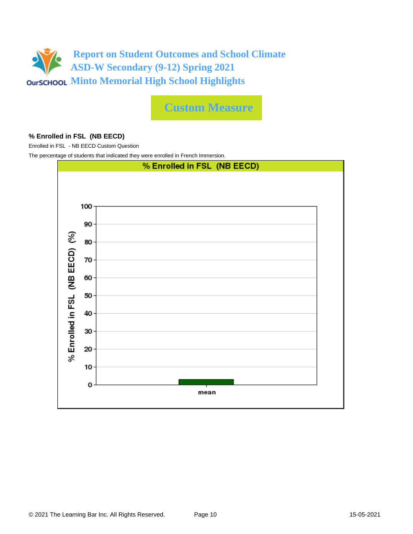

**Custom Measure**

### **% Enrolled in FSL (NB EECD)**

Enrolled in FSL - NB EECD Custom Question

The percentage of students that indicated they were enrolled in French Immersion.

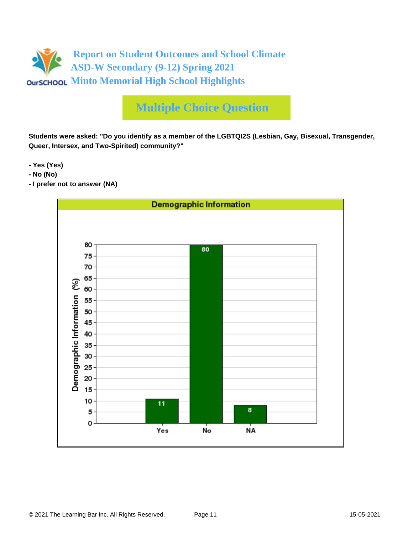

# **Multiple Choice Question**

**Students were asked: "Do you identify as a member of the LGBTQI2S (Lesbian, Gay, Bisexual, Transgender, Queer, Intersex, and Two-Spirited) community?"**

**- Yes (Yes)**

- **No (No)**
- **I prefer not to answer (NA)**

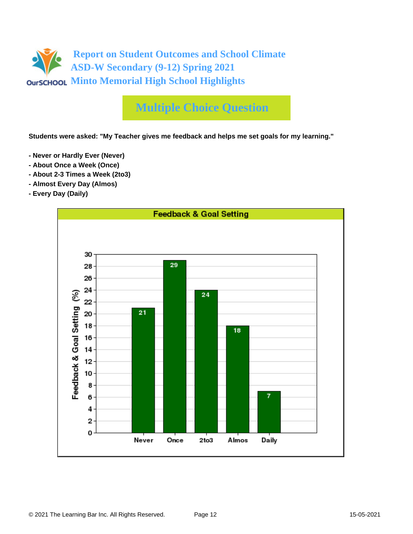

# **Multiple Choice Question**

**Students were asked: "My Teacher gives me feedback and helps me set goals for my learning."**

- **Never or Hardly Ever (Never)**
- **About Once a Week (Once)**
- **About 2-3 Times a Week (2to3)**
- **Almost Every Day (Almos)**
- **Every Day (Daily)**